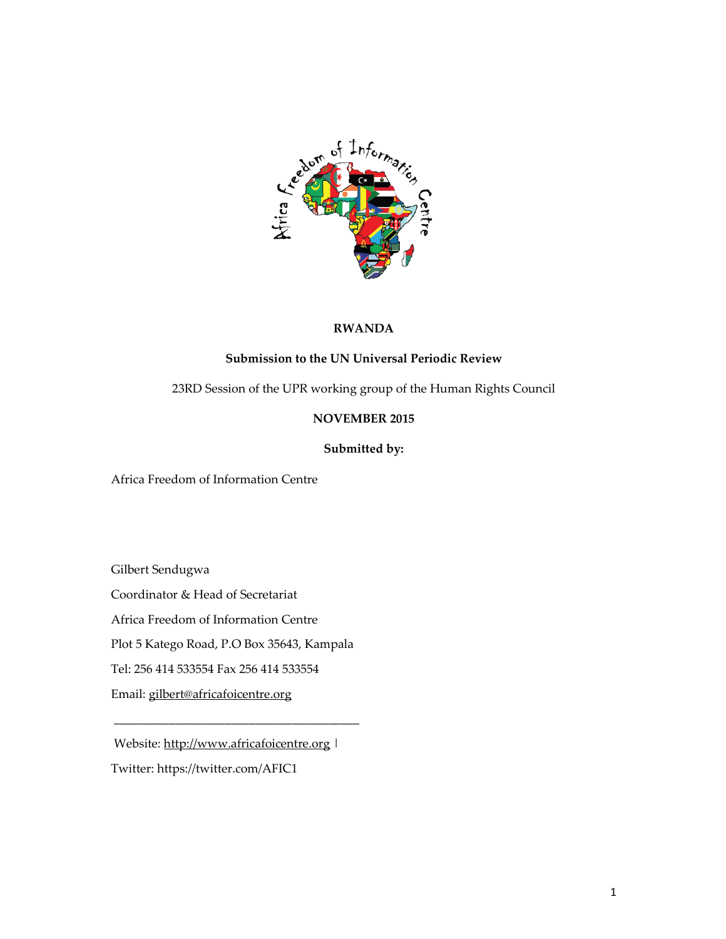

# **RWANDA**

## **Submission to the UN Universal Periodic Review**

23RD Session of the UPR working group of the Human Rights Council

# **NOVEMBER 2015**

# **Submitted by:**

Africa Freedom of Information Centre

Gilbert Sendugwa

Coordinator & Head of Secretariat

Africa Freedom of Information Centre

Plot 5 Katego Road, P.O Box 35643, Kampala

Tel: 256 414 533554 Fax 256 414 533554

Email: gilbert@africafoicentre.org

Website: http://www.africafoicentre.org | Twitter: https://twitter.com/AFIC1

\_\_\_\_\_\_\_\_\_\_\_\_\_\_\_\_\_\_\_\_\_\_\_\_\_\_\_\_\_\_\_\_\_\_\_\_\_\_\_\_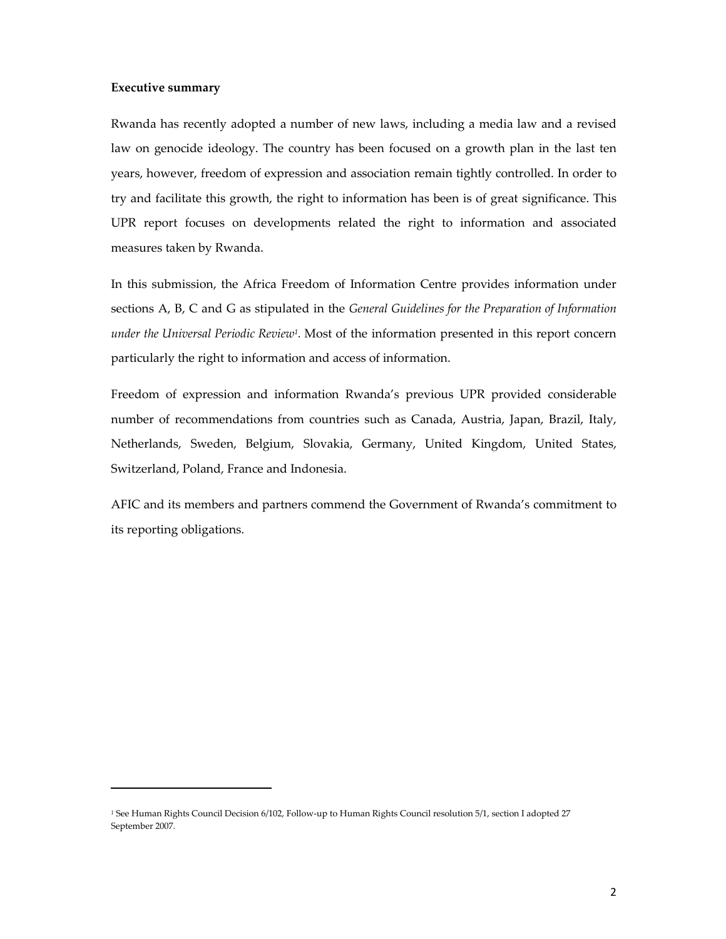#### **Executive summary**

 $\overline{a}$ 

Rwanda has recently adopted a number of new laws, including a media law and a revised law on genocide ideology. The country has been focused on a growth plan in the last ten years, however, freedom of expression and association remain tightly controlled. In order to try and facilitate this growth, the right to information has been is of great significance. This UPR report focuses on developments related the right to information and associated measures taken by Rwanda.

In this submission, the Africa Freedom of Information Centre provides information under sections A, B, C and G as stipulated in the *General Guidelines for the Preparation of Information under the Universal Periodic Review1.* Most of the information presented in this report concern particularly the right to information and access of information.

Freedom of expression and information Rwanda's previous UPR provided considerable number of recommendations from countries such as Canada, Austria, Japan, Brazil, Italy, Netherlands, Sweden, Belgium, Slovakia, Germany, United Kingdom, United States, Switzerland, Poland, France and Indonesia.

AFIC and its members and partners commend the Government of Rwanda's commitment to its reporting obligations.

*<sup>1</sup>* See Human Rights Council Decision 6/102, Follow‐up to Human Rights Council resolution 5/1, section I adopted 27 September 2007.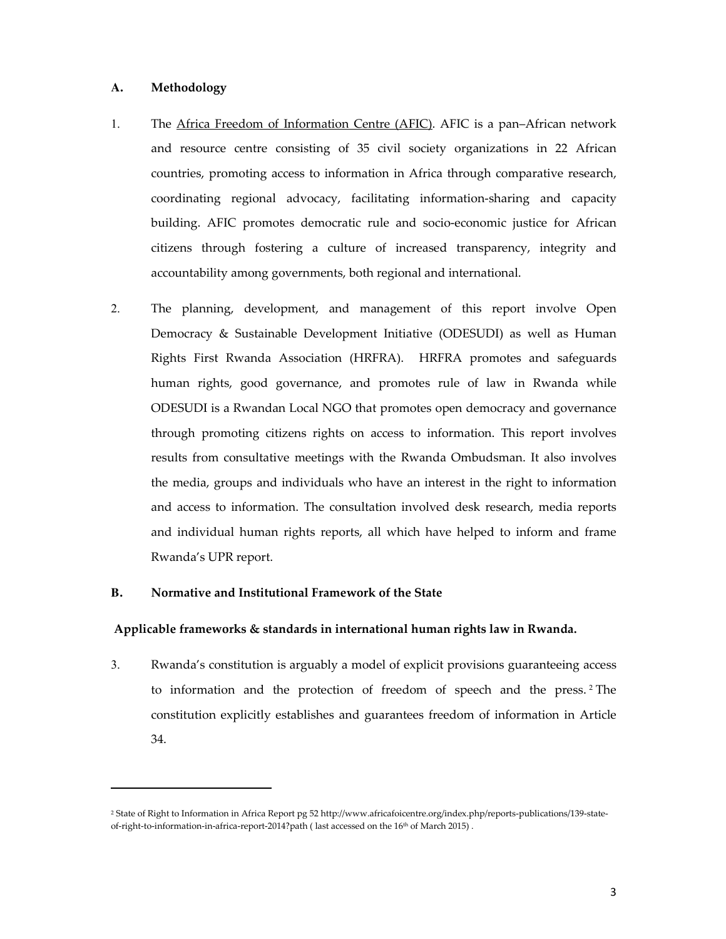## **A. Methodology**

 $\overline{a}$ 

- 1. The Africa Freedom of Information Centre (AFIC). AFIC is a pan–African network and resource centre consisting of 35 civil society organizations in 22 African countries, promoting access to information in Africa through comparative research, coordinating regional advocacy, facilitating information-sharing and capacity building. AFIC promotes democratic rule and socio-economic justice for African citizens through fostering a culture of increased transparency, integrity and accountability among governments, both regional and international.
- 2. The planning, development, and management of this report involve Open Democracy & Sustainable Development Initiative (ODESUDI) as well as Human Rights First Rwanda Association (HRFRA). HRFRA promotes and safeguards human rights, good governance, and promotes rule of law in Rwanda while ODESUDI is a Rwandan Local NGO that promotes open democracy and governance through promoting citizens rights on access to information. This report involves results from consultative meetings with the Rwanda Ombudsman. It also involves the media, groups and individuals who have an interest in the right to information and access to information. The consultation involved desk research, media reports and individual human rights reports, all which have helped to inform and frame Rwanda's UPR report.

#### **B. Normative and Institutional Framework of the State**

## **Applicable frameworks & standards in international human rights law in Rwanda.**

3. Rwanda's constitution is arguably a model of explicit provisions guaranteeing access to information and the protection of freedom of speech and the press. <sup>2</sup> The constitution explicitly establishes and guarantees freedom of information in Article 34.

<sup>2</sup> State of Right to Information in Africa Report pg 52 http://www.africafoicentre.org/index.php/reports-publications/139-stateof-right-to-information-in-africa-report-2014?path (last accessed on the 16<sup>th</sup> of March 2015).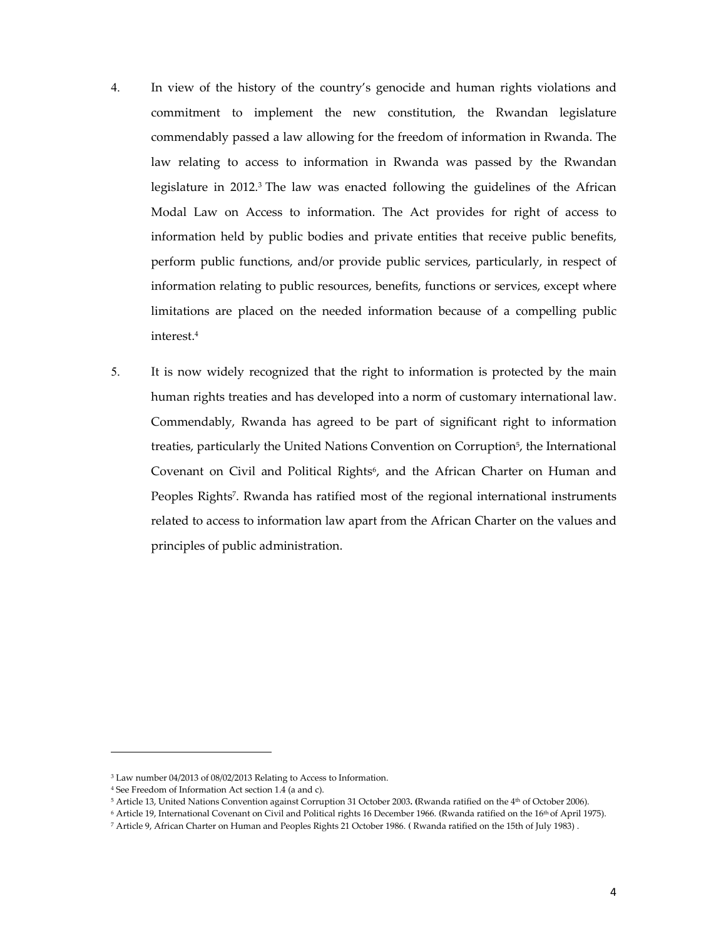- 4. In view of the history of the country's genocide and human rights violations and commitment to implement the new constitution, the Rwandan legislature commendably passed a law allowing for the freedom of information in Rwanda. The law relating to access to information in Rwanda was passed by the Rwandan legislature in  $2012$ <sup>3</sup> The law was enacted following the guidelines of the African Modal Law on Access to information. The Act provides for right of access to information held by public bodies and private entities that receive public benefits, perform public functions, and/or provide public services, particularly, in respect of information relating to public resources, benefits, functions or services, except where limitations are placed on the needed information because of a compelling public interest.4
- 5. It is now widely recognized that the right to information is protected by the main human rights treaties and has developed into a norm of customary international law. Commendably, Rwanda has agreed to be part of significant right to information treaties, particularly the United Nations Convention on Corruption<sup>5</sup>, the International Covenant on Civil and Political Rights<sup>6</sup>, and the African Charter on Human and Peoples Rights<sup>7</sup>. Rwanda has ratified most of the regional international instruments related to access to information law apart from the African Charter on the values and principles of public administration.

<sup>3</sup> Law number 04/2013 of 08/02/2013 Relating to Access to Information.

<sup>4</sup> See Freedom of Information Act section 1.4 (a and c).

<sup>5</sup> Article 13, United Nations Convention against Corruption 31 October 2003**. (**Rwanda ratified on the 4th of October 2006).

<sup>6</sup> Article 19, International Covenant on Civil and Political rights 16 December 1966. **(**Rwanda ratified on the 16th of April 1975).

<sup>7</sup> Article 9, African Charter on Human and Peoples Rights 21 October 1986. **(** Rwanda ratified on the 15th of July 1983) .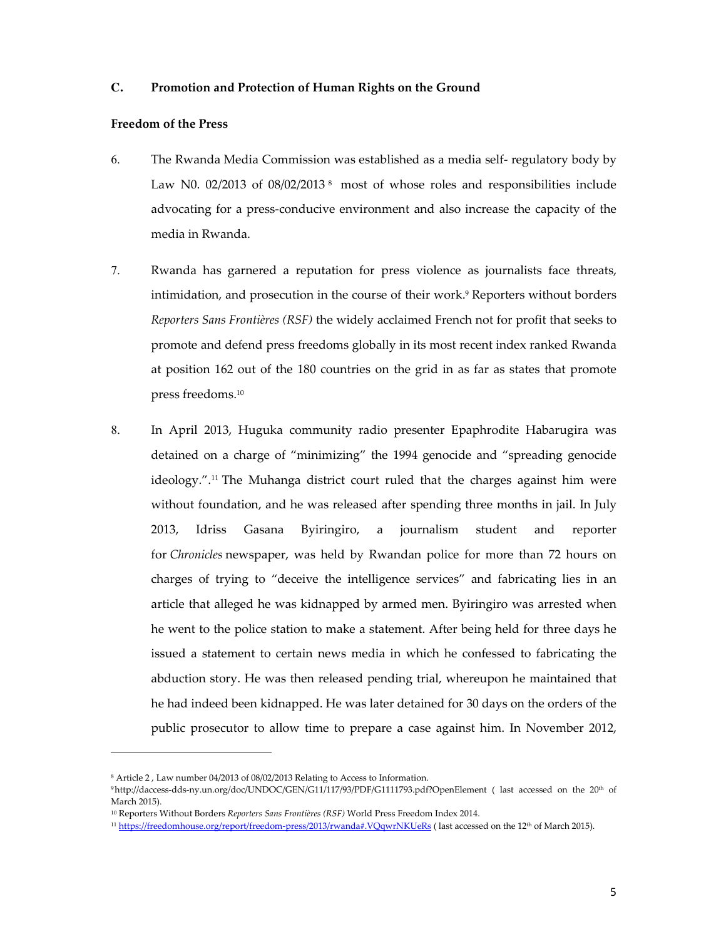## **C. Promotion and Protection of Human Rights on the Ground**

#### **Freedom of the Press**

- 6. The Rwanda Media Commission was established as a media self- regulatory body by Law N0. 02/2013 of 08/02/2013<sup>8</sup> most of whose roles and responsibilities include advocating for a press-conducive environment and also increase the capacity of the media in Rwanda.
- 7. Rwanda has garnered a reputation for press violence as journalists face threats, intimidation, and prosecution in the course of their work.9 Reporters without borders *Reporters Sans Frontières (RSF)* the widely acclaimed French not for profit that seeks to promote and defend press freedoms globally in its most recent index ranked Rwanda at position 162 out of the 180 countries on the grid in as far as states that promote press freedoms.10
- 8. In April 2013, Huguka community radio presenter Epaphrodite Habarugira was detained on a charge of "minimizing" the 1994 genocide and "spreading genocide ideology.".<sup>11</sup> The Muhanga district court ruled that the charges against him were without foundation, and he was released after spending three months in jail. In July 2013, Idriss Gasana Byiringiro, a journalism student and reporter for *Chronicles* newspaper, was held by Rwandan police for more than 72 hours on charges of trying to "deceive the intelligence services" and fabricating lies in an article that alleged he was kidnapped by armed men. Byiringiro was arrested when he went to the police station to make a statement. After being held for three days he issued a statement to certain news media in which he confessed to fabricating the abduction story. He was then released pending trial, whereupon he maintained that he had indeed been kidnapped. He was later detained for 30 days on the orders of the public prosecutor to allow time to prepare a case against him. In November 2012,

<sup>8</sup> Article 2 , Law number 04/2013 of 08/02/2013 Relating to Access to Information.

<sup>9</sup>http://daccess-dds-ny.un.org/doc/UNDOC/GEN/G11/117/93/PDF/G1111793.pdf?OpenElement ( last accessed on the 20th of March 2015).

<sup>10</sup> Reporters Without Borders *Reporters Sans Frontières (RSF)* World Press Freedom Index 2014.

<sup>&</sup>lt;sup>11</sup> https://freedomhouse.org/report/freedom-press/2013/rwanda#.VQqwrNKUeRs (last accessed on the 12<sup>th</sup> of March 2015).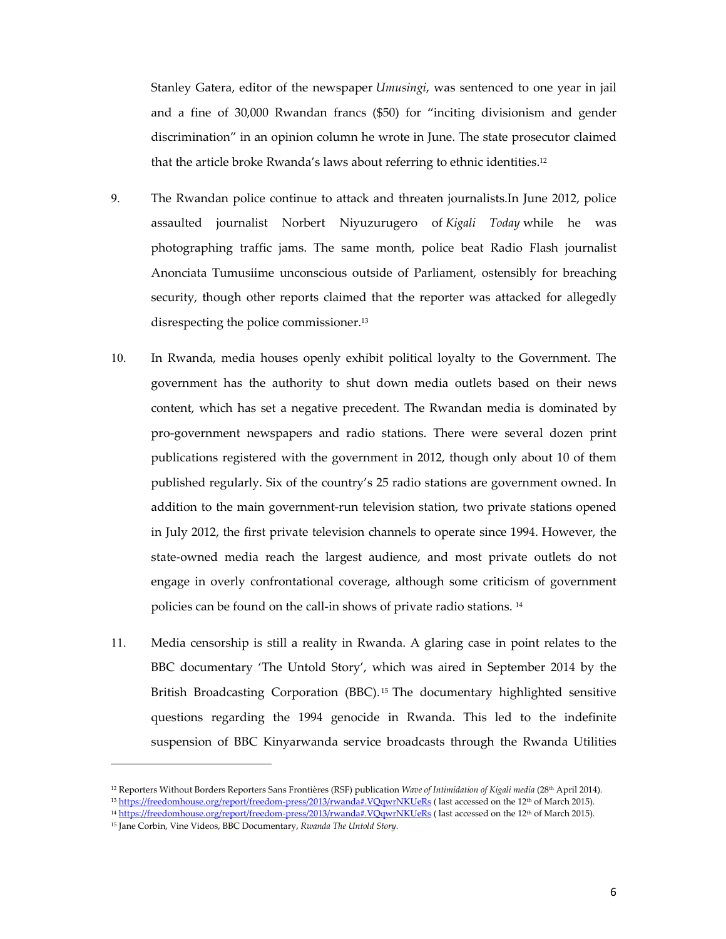Stanley Gatera, editor of the newspaper *Umusingi*, was sentenced to one year in jail and a fine of 30,000 Rwandan francs (\$50) for "inciting divisionism and gender discrimination" in an opinion column he wrote in June. The state prosecutor claimed that the article broke Rwanda's laws about referring to ethnic identities.12

- 9. The Rwandan police continue to attack and threaten journalists.In June 2012, police assaulted journalist Norbert Niyuzurugero of *Kigali Today* while he was photographing traffic jams. The same month, police beat Radio Flash journalist Anonciata Tumusiime unconscious outside of Parliament, ostensibly for breaching security, though other reports claimed that the reporter was attacked for allegedly disrespecting the police commissioner.13
- 10. In Rwanda, media houses openly exhibit political loyalty to the Government. The government has the authority to shut down media outlets based on their news content, which has set a negative precedent. The Rwandan media is dominated by pro-government newspapers and radio stations. There were several dozen print publications registered with the government in 2012, though only about 10 of them published regularly. Six of the country's 25 radio stations are government owned. In addition to the main government-run television station, two private stations opened in July 2012, the first private television channels to operate since 1994. However, the state-owned media reach the largest audience, and most private outlets do not engage in overly confrontational coverage, although some criticism of government policies can be found on the call-in shows of private radio stations. <sup>14</sup>
- 11. Media censorship is still a reality in Rwanda. A glaring case in point relates to the BBC documentary 'The Untold Story', which was aired in September 2014 by the British Broadcasting Corporation (BBC). <sup>15</sup> The documentary highlighted sensitive questions regarding the 1994 genocide in Rwanda. This led to the indefinite suspension of BBC Kinyarwanda service broadcasts through the Rwanda Utilities

<sup>12</sup> Reporters Without Borders Reporters Sans Frontières (RSF) publication *Wave of Intimidation of Kigali media* (28th April 2014).

<sup>&</sup>lt;sup>13</sup> https://freedomhouse.org/report/freedom-press/2013/rwanda#.VQqwrNKUeRs (last accessed on the 12<sup>th</sup> of March 2015).

<sup>&</sup>lt;sup>14</sup> https://freedomhouse.org/report/freedom-press/2013/rwanda#.VQqwrNKUeRs (last accessed on the 12<sup>th</sup> of March 2015).

<sup>15</sup> Jane Corbin, Vine Videos, BBC Documentary, *Rwanda The Untold Story.*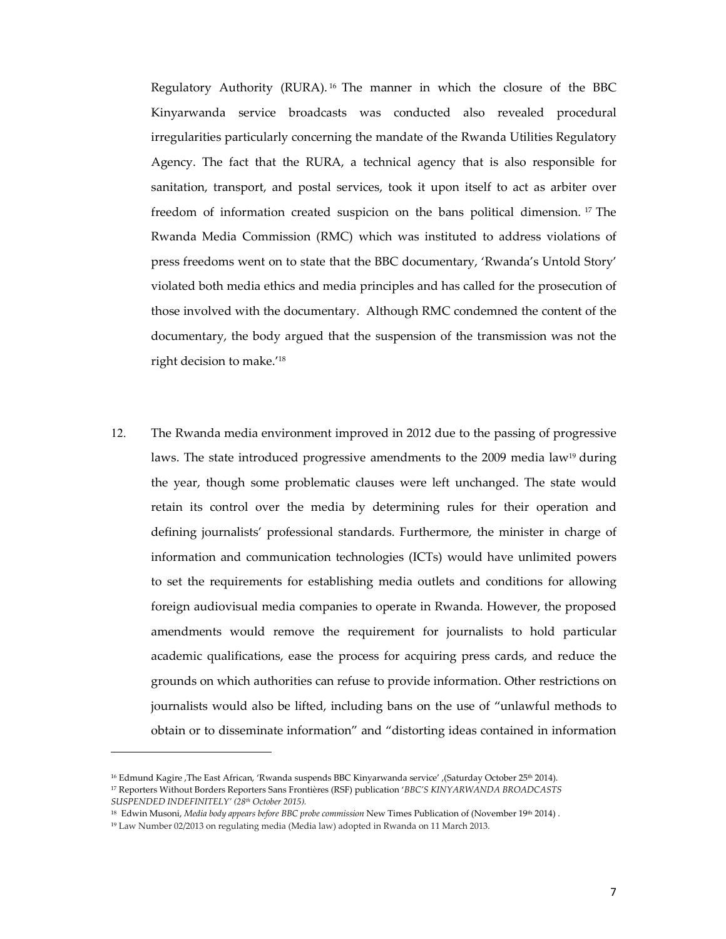Regulatory Authority (RURA). <sup>16</sup> The manner in which the closure of the BBC Kinyarwanda service broadcasts was conducted also revealed procedural irregularities particularly concerning the mandate of the Rwanda Utilities Regulatory Agency. The fact that the RURA, a technical agency that is also responsible for sanitation, transport, and postal services, took it upon itself to act as arbiter over freedom of information created suspicion on the bans political dimension. <sup>17</sup> The Rwanda Media Commission (RMC) which was instituted to address violations of press freedoms went on to state that the BBC documentary, 'Rwanda's Untold Story' violated both media ethics and media principles and has called for the prosecution of those involved with the documentary. Although RMC condemned the content of the documentary, the body argued that the suspension of the transmission was not the right decision to make.'<sup>18</sup>

12. The Rwanda media environment improved in 2012 due to the passing of progressive laws. The state introduced progressive amendments to the  $2009$  media law<sup>19</sup> during the year, though some problematic clauses were left unchanged. The state would retain its control over the media by determining rules for their operation and defining journalists' professional standards. Furthermore, the minister in charge of information and communication technologies (ICTs) would have unlimited powers to set the requirements for establishing media outlets and conditions for allowing foreign audiovisual media companies to operate in Rwanda. However, the proposed amendments would remove the requirement for journalists to hold particular academic qualifications, ease the process for acquiring press cards, and reduce the grounds on which authorities can refuse to provide information. Other restrictions on journalists would also be lifted, including bans on the use of "unlawful methods to obtain or to disseminate information" and "distorting ideas contained in information

<sup>16</sup> Edmund Kagire ,The East African, 'Rwanda suspends BBC Kinyarwanda service' ,(Saturday October 25th 2014). <sup>17</sup> Reporters Without Borders Reporters Sans Frontières (RSF) publication '*BBC'S KINYARWANDA BROADCASTS SUSPENDED INDEFINITELY' (28th October 2015).*

<sup>18</sup> Edwin Musoni, *Media body appears before BBC probe commission* New Times Publication of (November 19th 2014) .

<sup>19</sup> Law Number 02/2013 on regulating media (Media law) adopted in Rwanda on 11 March 2013.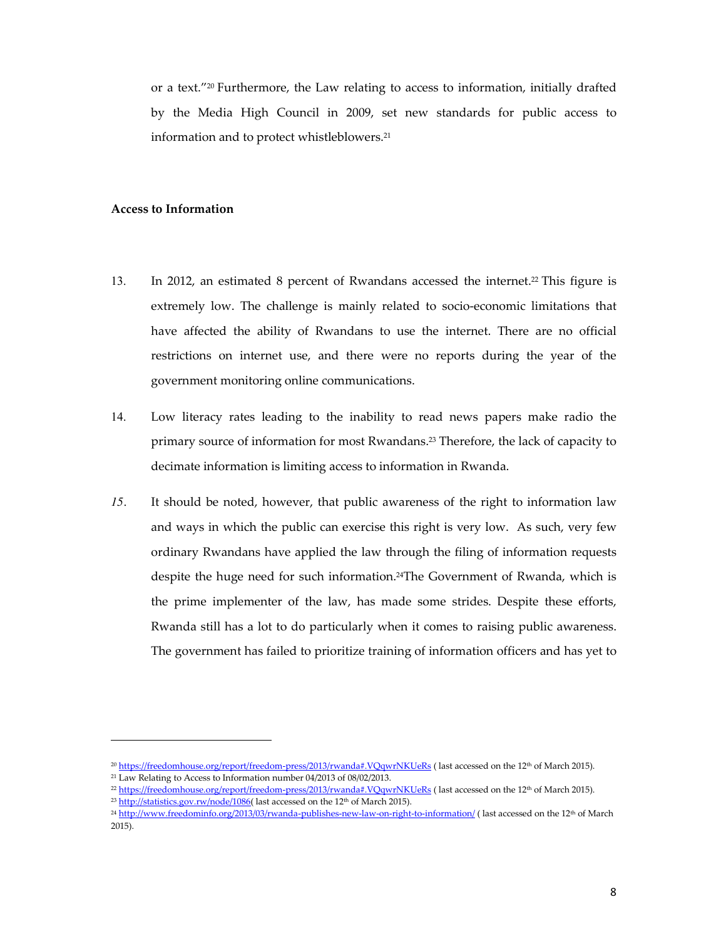or a text."<sup>20</sup> Furthermore, the Law relating to access to information, initially drafted by the Media High Council in 2009, set new standards for public access to information and to protect whistleblowers.21

#### **Access to Information**

- 13. In 2012, an estimated 8 percent of Rwandans accessed the internet.22 This figure is extremely low. The challenge is mainly related to socio-economic limitations that have affected the ability of Rwandans to use the internet. There are no official restrictions on internet use, and there were no reports during the year of the government monitoring online communications.
- 14. Low literacy rates leading to the inability to read news papers make radio the primary source of information for most Rwandans.23 Therefore, the lack of capacity to decimate information is limiting access to information in Rwanda.
- *15.* It should be noted, however, that public awareness of the right to information law and ways in which the public can exercise this right is very low. As such, very few ordinary Rwandans have applied the law through the filing of information requests despite the huge need for such information.24The Government of Rwanda, which is the prime implementer of the law, has made some strides. Despite these efforts, Rwanda still has a lot to do particularly when it comes to raising public awareness. The government has failed to prioritize training of information officers and has yet to

<sup>&</sup>lt;sup>20</sup> https://freedomhouse.org/report/freedom-press/2013/rwanda#.VQqwrNKUeRs (last accessed on the 12<sup>th</sup> of March 2015).

<sup>21</sup> Law Relating to Access to Information number 04/2013 of 08/02/2013.

<sup>&</sup>lt;sup>22</sup> https://freedomhouse.org/report/freedom-press/2013/rwanda#.VQqwrNKUeRs (last accessed on the 12<sup>th</sup> of March 2015).

<sup>&</sup>lt;sup>23</sup> http://statistics.gov.rw/node/1086( last accessed on the 12<sup>th</sup> of March 2015).

<sup>&</sup>lt;sup>24</sup> http://www.freedominfo.org/2013/03/rwanda-publishes-new-law-on-right-to-information/ (last accessed on the 12<sup>th</sup> of March 2015).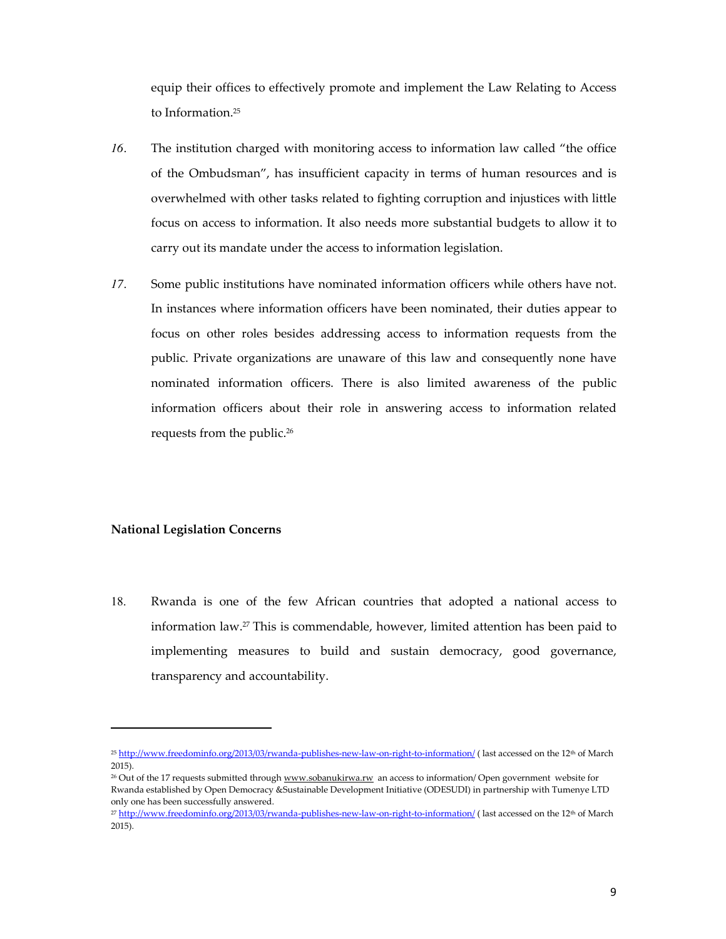equip their offices to effectively promote and implement the Law Relating to Access to Information.<sup>25</sup>

- *16.* The institution charged with monitoring access to information law called "the office of the Ombudsman", has insufficient capacity in terms of human resources and is overwhelmed with other tasks related to fighting corruption and injustices with little focus on access to information. It also needs more substantial budgets to allow it to carry out its mandate under the access to information legislation.
- *17.* Some public institutions have nominated information officers while others have not. In instances where information officers have been nominated, their duties appear to focus on other roles besides addressing access to information requests from the public. Private organizations are unaware of this law and consequently none have nominated information officers. There is also limited awareness of the public information officers about their role in answering access to information related requests from the public.26

## **National Legislation Concerns**

 $\overline{a}$ 

18. Rwanda is one of the few African countries that adopted a national access to information law.27 This is commendable, however, limited attention has been paid to implementing measures to build and sustain democracy, good governance, transparency and accountability.

<sup>&</sup>lt;sup>25</sup> http://www.freedominfo.org/2013/03/rwanda-publishes-new-law-on-right-to-information/ (last accessed on the 12<sup>th</sup> of March 2015).

<sup>&</sup>lt;sup>26</sup> Out of the 17 requests submitted through www.sobanukirwa.rw an access to information/ Open government website for Rwanda established by Open Democracy &Sustainable Development Initiative (ODESUDI) in partnership with Tumenye LTD only one has been successfully answered.

<sup>&</sup>lt;sup>27</sup> http://www.freedominfo.org/2013/03/rwanda-publishes-new-law-on-right-to-information/ (last accessed on the 12<sup>th</sup> of March 2015).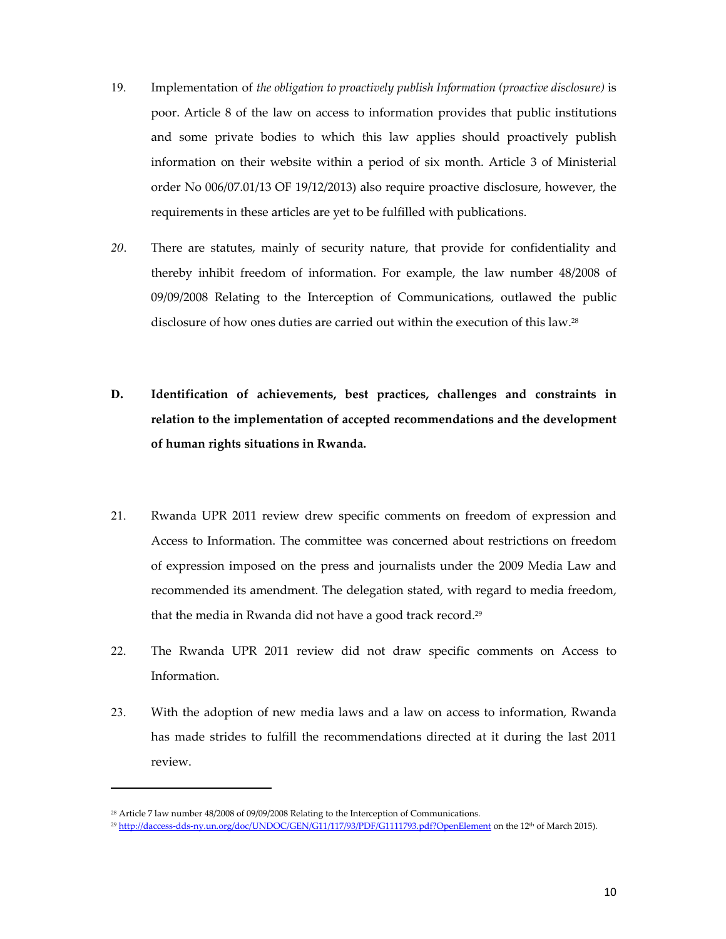- 19. Implementation of *the obligation to proactively publish Information (proactive disclosure)* is poor. Article 8 of the law on access to information provides that public institutions and some private bodies to which this law applies should proactively publish information on their website within a period of six month. Article 3 of Ministerial order No 006/07.01/13 OF 19/12/2013) also require proactive disclosure, however, the requirements in these articles are yet to be fulfilled with publications.
- *20.* There are statutes, mainly of security nature, that provide for confidentiality and thereby inhibit freedom of information. For example, the law number 48/2008 of 09/09/2008 Relating to the Interception of Communications, outlawed the public disclosure of how ones duties are carried out within the execution of this law.28
- **D. Identification of achievements, best practices, challenges and constraints in relation to the implementation of accepted recommendations and the development of human rights situations in Rwanda.**
- 21. Rwanda UPR 2011 review drew specific comments on freedom of expression and Access to Information. The committee was concerned about restrictions on freedom of expression imposed on the press and journalists under the 2009 Media Law and recommended its amendment. The delegation stated, with regard to media freedom, that the media in Rwanda did not have a good track record.29
- 22. The Rwanda UPR 2011 review did not draw specific comments on Access to Information.
- 23. With the adoption of new media laws and a law on access to information, Rwanda has made strides to fulfill the recommendations directed at it during the last 2011 review.

<sup>&</sup>lt;sup>28</sup> Article 7 law number 48/2008 of 09/09/2008 Relating to the Interception of Communications.

<sup>&</sup>lt;sup>29</sup> http://daccess-dds-ny.un.org/doc/UNDOC/GEN/G11/117/93/PDF/G1111793.pdf?OpenElement on the 12<sup>th</sup> of March 2015).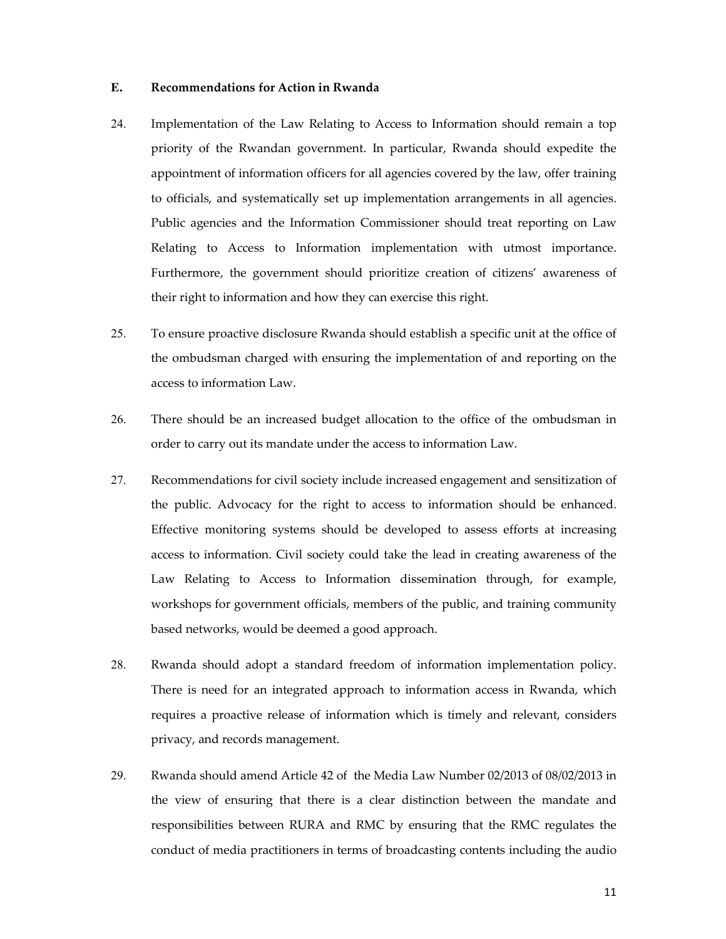#### **E. Recommendations for Action in Rwanda**

- 24. Implementation of the Law Relating to Access to Information should remain a top priority of the Rwandan government. In particular, Rwanda should expedite the appointment of information officers for all agencies covered by the law, offer training to officials, and systematically set up implementation arrangements in all agencies. Public agencies and the Information Commissioner should treat reporting on Law Relating to Access to Information implementation with utmost importance. Furthermore, the government should prioritize creation of citizens' awareness of their right to information and how they can exercise this right.
- 25. To ensure proactive disclosure Rwanda should establish a specific unit at the office of the ombudsman charged with ensuring the implementation of and reporting on the access to information Law.
- 26. There should be an increased budget allocation to the office of the ombudsman in order to carry out its mandate under the access to information Law.
- 27. Recommendations for civil society include increased engagement and sensitization of the public. Advocacy for the right to access to information should be enhanced. Effective monitoring systems should be developed to assess efforts at increasing access to information. Civil society could take the lead in creating awareness of the Law Relating to Access to Information dissemination through, for example, workshops for government officials, members of the public, and training community based networks, would be deemed a good approach.
- 28. Rwanda should adopt a standard freedom of information implementation policy. There is need for an integrated approach to information access in Rwanda, which requires a proactive release of information which is timely and relevant, considers privacy, and records management.
- 29. Rwanda should amend Article 42 of the Media Law Number 02/2013 of 08/02/2013 in the view of ensuring that there is a clear distinction between the mandate and responsibilities between RURA and RMC by ensuring that the RMC regulates the conduct of media practitioners in terms of broadcasting contents including the audio